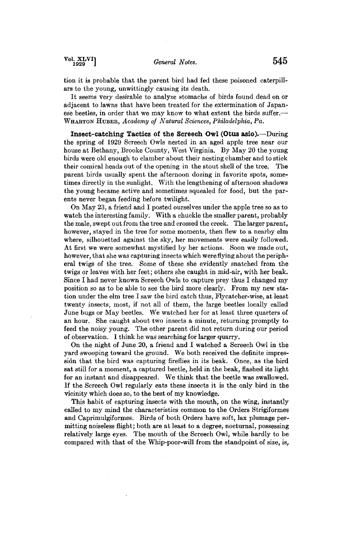**Vol. XLVI 1929 1929** *General Notes.* **545** 

**tion it is probable that the parent bird had fed these poisoned caterpillars to the young, unwittingly causing its death.** 

**It seems very desirable to analyze stomachs of birds found dead on or adjacent to lawns that have been treated for the extermination of Japan**ese beetles, in order that we may know to what extent the birds suffer.— WHARTON HUBER, Academy of Natural Sciences, Philadelphia, Pa.

**Insect-catching Tactics of the Screech Owl (Otus asio).--During the spring of 1929 Screech Owls nested in an aged apple tree near our house at Bethany, Brooke County, West Virginia. By May 20 the young birds were old enough to clamber about their nesting chamber and to stick their comical heads out of the opening in the stout shell of the tree. The parent birds usually spent the afternoon dozing in favorite spots, sometimes directly in the sunlight. With the lengthening of afternoon shadows the young became active and sometimes squealed for food, but the parents never began feeding before twilight.** 

**On May 23, a friend and I posted ourselves under the apple tree so as to watch the interesting family. With a chuckle the smaller parent, probably the male, swept out from the tree and crossed the creek. The larger parent, however, stayed in the tree for some moments, then flew to a nearby elm where, silhouetted against the sky, her movements were easily followed. At first we were somewhat mystified by her actions. Soon we made out, however, that she was capturing insects which were flying about the peripheral twigs of the tree. Some of these she evidently snatched from the twigs or leaves with her feet; others she caught in mid-air, with her beak. Since I had never known Screech Owls to capture prey thus I changed my position so as to be able to see the bird more clearly. From my new station under the elm tree I saw the bird catch thus, Flycatcher-wise, at least twenty insects, most, if not all of them, the large beetles locally called June bugs or May beetles. We watched her for at least three quarters of an hour. She caught about two insects a minute, returning promptly to feed the noisy young. The other parent did not return during our period of observation. I think he was searching for larger quarry.** 

**On the night of June 20, a friend and I watched a Screech Owl in the yard swooping toward the ground. We both received the definite impres**sion that the bird was capturing fireflies in its beak. Once, as the bird **sat still for a moment, a captured beetle, held in the beak, flashed its light for an instant and disappeared. We think that the beetle was swallowed. If the Screech Owl regularly eats these insects it is the only bird in the vicinity which does so, to the best of my knowledge.** 

**This habit of capturing insects with the mouth, on the wing, instantly called to my mind the characteristics common to the Orders Strigiformes and Caprimulgiformes. Birds of both Orders have soft, lax plumage permirting noiseless flight; both are at least to a degree, nocturnal, possessing relatively large eyes. The mouth of the Screech Owl, while hardly to be compared with that of the Whip-poor-will from the standpoint of size, is,**